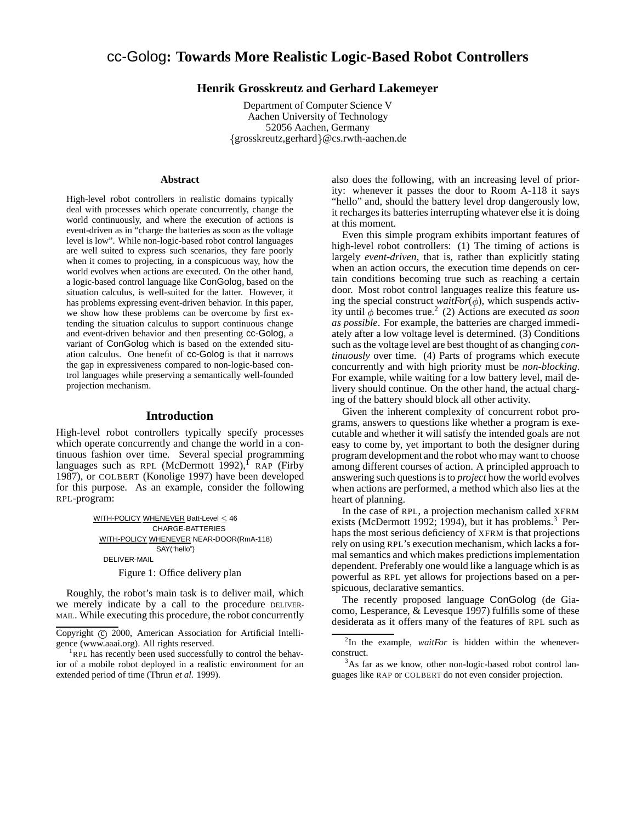# cc-Golog**: Towards More Realistic Logic-Based Robot Controllers**

# **Henrik Grosskreutz and Gerhard Lakemeyer**

Department of Computer Science V Aachen University of Technology 52056 Aachen, Germany  $\{grosskreutz, gerhard\}$ @cs.rwth-aachen.de

#### **Abstract**

High-level robot controllers in realistic domains typically deal with processes which operate concurrently, change the world continuously, and where the execution of actions is event-driven as in "charge the batteries as soon as the voltage level is low". While non-logic-based robot control languages are well suited to express such scenarios, they fare poorly when it comes to projecting, in a conspicuous way, how the world evolves when actions are executed. On the other hand, a logic-based control language like ConGolog, based on the situation calculus, is well-suited for the latter. However, it has problems expressing event-driven behavior. In this paper, we show how these problems can be overcome by first extending the situation calculus to support continuous change and event-driven behavior and then presenting cc-Golog, a variant of ConGolog which is based on the extended situation calculus. One benefit of cc-Golog is that it narrows the gap in expressiveness compared to non-logic-based control languages while preserving a semantically well-founded projection mechanism.

# **Introduction**

High-level robot controllers typically specify processes which operate concurrently and change the world in a continuous fashion over time. Several special programming languages such as RPL (McDermott 1992),  $f$  RAP (Firby 1987), or COLBERT (Konolige 1997) have been developed for this purpose. As an example, consider the following RPL-program:

> WITH-POLICY WHENEVER Batt-Level < 46 CHARGE-BATTERIES WITH-POLICY WHENEVER NEAR-DOOR(RmA-118) SAY("hello") DELIVER-MAIL

Figure 1: Office delivery plan

Roughly, the robot's main task is to deliver mail, which we merely indicate by a call to the procedure DELIVER-MAIL. While executing this procedure, the robot concurrently

also does the following, with an increasing level of priority: whenever it passes the door to Room A-118 it says "hello" and, should the battery level drop dangerously low, it recharges its batteries interrupting whatever else it is doing at this moment.

Even this simple program exhibits important features of high-level robot controllers: (1) The timing of actions is largely *event-driven*, that is, rather than explicitly stating when an action occurs, the execution time depends on certain conditions becoming true such as reaching a certain door. Most robot control languages realize this feature using the special construct *waitFor* $(\phi)$ , which suspends activity until  $\phi$  becomes true.<sup>2</sup> (2) Actions are executed *as soon as possible*. For example, the batteries are charged immediately after a low voltage level is determined. (3) Conditions such as the voltage level are best thought of as changing *continuously* over time. (4) Parts of programs which execute concurrently and with high priority must be *non-blocking*. For example, while waiting for a low battery level, mail delivery should continue. On the other hand, the actual charging of the battery should block all other activity.

Given the inherent complexity of concurrent robot programs, answers to questions like whether a program is executable and whether it will satisfy the intended goals are not easy to come by, yet important to both the designer during program development and the robot who may want to choose among different courses of action. A principled approach to answering such questions is to *project* how the world evolves when actions are performed, a method which also lies at the heart of planning.

In the case of RPL, a projection mechanism called XFRM exists (McDermott 1992; 1994), but it has problems.<sup>3</sup> Perhaps the most serious deficiency of XFRM is that projections rely on using RPL's execution mechanism, which lacks a formal semantics and which makes predictions implementation dependent. Preferably one would like a language which is as powerful as RPL yet allows for projections based on a perspicuous, declarative semantics.

The recently proposed language ConGolog (de Giacomo, Lesperance, & Levesque 1997) fulfills some of these desiderata as it offers many of the features of RPL such as

Copyright (c) 2000, American Association for Artificial Intelligence (www.aaai.org). All rights reserved.

<sup>&</sup>lt;sup>1</sup>RPL has recently been used successfully to control the behavior of a mobile robot deployed in a realistic environment for an extended period of time (Thrun *et al.* 1999).

 $2$ In the example, *waitFor* is hidden within the wheneverconstruct.

<sup>&</sup>lt;sup>3</sup>As far as we know, other non-logic-based robot control languages like RAP or COLBERT do not even consider projection.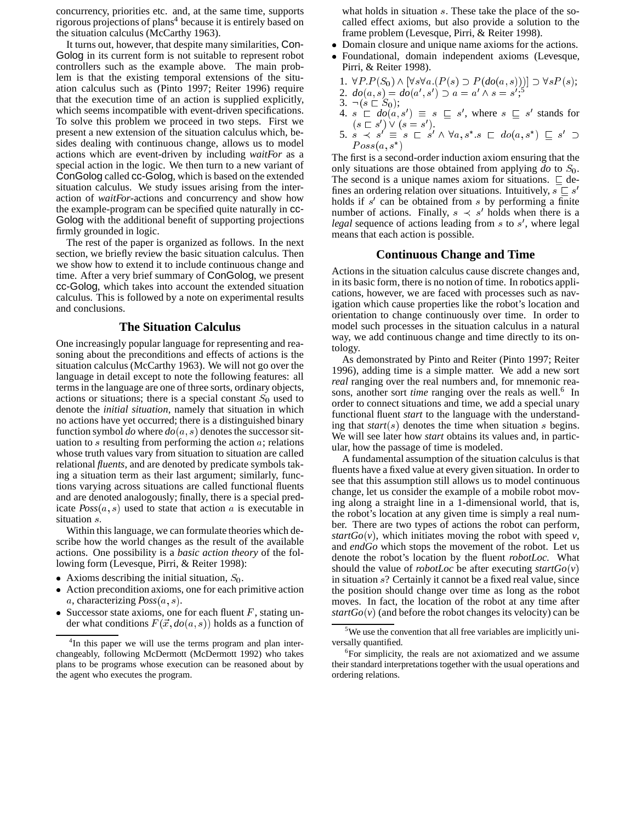concurrency, priorities etc. and, at the same time, supports rigorous projections of plans<sup>4</sup> because it is entirely based on the situation calculus (McCarthy 1963).

It turns out, however, that despite many similarities, Con-Golog in its current form is not suitable to represent robot controllers such as the example above. The main problem is that the existing temporal extensions of the situation calculus such as (Pinto 1997; Reiter 1996) require that the execution time of an action is supplied explicitly, which seems incompatible with event-driven specifications. To solve this problem we proceed in two steps. First we present a new extension of the situation calculus which, besides dealing with continuous change, allows us to model actions which are event-driven by including *waitFor* as a special action in the logic. We then turn to a new variant of ConGolog called cc-Golog, which is based on the extended situation calculus. We study issues arising from the interaction of *waitFor*-actions and concurrency and show how the example-program can be specified quite naturally in cc-Golog with the additional benefit of supporting projections firmly grounded in logic.

The rest of the paper is organized as follows. In the next section, we briefly review the basic situation calculus. Then we show how to extend it to include continuous change and time. After a very brief summary of ConGolog, we present cc-Golog, which takes into account the extended situation calculus. This is followed by a note on experimental results and conclusions.

## **The Situation Calculus**

One increasingly popular language for representing and reasoning about the preconditions and effects of actions is the situation calculus (McCarthy 1963). We will not go over the language in detail except to note the following features: all terms in the language are one of three sorts, ordinary objects, actions or situations; there is a special constant  $S_0$  used to denote the *initial situation*, namely that situation in which no actions have yet occurred; there is a distinguished binary function symbol *do* where  $do(a, s)$  denotes the successor situation to  $s$  resulting from performing the action  $a$ ; relations whose truth values vary from situation to situation are called relational *fluents*, and are denoted by predicate symbols taking a situation term as their last argument; similarly, functions varying across situations are called functional fluents and are denoted analogously; finally, there is a special predicate  $Poss(a, s)$  used to state that action  $a$  is executable in situation s.

Within this language, we can formulate theories which describe how the world changes as the result of the available actions. One possibility is a *basic action theory* of the following form (Levesque, Pirri, & Reiter 1998):

- Axioms describing the initial situation,  $S_0$ .
- Action precondition axioms, one for each primitive action a, characterizing  $Poss(a, s)$ .
- Successor state axioms, one for each fluent  $F$ , stating under what conditions  $F(\vec{x}, do(a, s))$  holds as a function of

what holds in situation s. These take the place of the socalled effect axioms, but also provide a solution to the frame problem (Levesque, Pirri, & Reiter 1998).

- Domain closure and unique name axioms for the actions.
- Foundational, domain independent axioms (Levesque, Pirri, & Reiter 1998).
- 1.  $\forall P.P(S_0) \land [\forall s \forall a.(P(s) \supset P(do(a,s)))] \supset \forall s P(s);$
- 2.  $do(a, s) = do(a', s') \supset a = a' \wedge s = s';^5$
- 3.  $\neg(s \sqsubset S_0);$
- 4.  $s \in do(a, s') \equiv s \subseteq s'$ , where  $s \subseteq s'$  stands for  $(s \sqsubset s') \vee (s = s').$
- 5.  $s \prec s' \equiv s \sqsubset s' \wedge \forall a, s^* \ s \sqsubset do(a, s^*) \sqsubseteq s' \supset$  $Foss(a, s)$

The first is a second-order induction axiom ensuring that the only situations are those obtained from applying  $d\sigma$  to  $S_0$ . The second is a unique names axiom for situations.  $\sqsubseteq$  defines an ordering relation over situations. Intuitively,  $s \sqsubseteq s'$ holds if  $s'$  can be obtained from  $s$  by performing a finite number of actions. Finally,  $s \prec s'$  holds when there is a legal sequence of actions leading from s to s', where legal means that each action is possible.

#### **Continuous Change and Time**

Actions in the situation calculus cause discrete changes and, in its basic form, there is no notion of time. In robotics applications, however, we are faced with processes such as navigation which cause properties like the robot's location and orientation to change continuously over time. In order to model such processes in the situation calculus in a natural way, we add continuous change and time directly to its ontology.

As demonstrated by Pinto and Reiter (Pinto 1997; Reiter 1996), adding time is a simple matter. We add a new sort *real* ranging over the real numbers and, for mnemonic reasons, another sort *time* ranging over the reals as well.<sup>6</sup> In order to connect situations and time, we add a special unary functional fluent *start* to the language with the understanding that *start*(s) denotes the time when situation <sup>s</sup> begins. We will see later how *start* obtains its values and, in particular, how the passage of time is modeled.

A fundamental assumption of the situation calculus is that fluents have a fixed value at every given situation. In order to see that this assumption still allows us to model continuous change, let us consider the example of a mobile robot moving along a straight line in a 1-dimensional world, that is, the robot's location at any given time is simply a real number. There are two types of actions the robot can perform, *startGo(v)*, which initiates moving the robot with speed  $\nu$ , and *endGo* which stops the movement of the robot. Let us denote the robot's location by the fluent *robotLoc*. What should the value of *robotLoc* be after executing *startGo*(*v*) in situation s? Certainly it cannot be a fixed real value, since the position should change over time as long as the robot moves. In fact, the location of the robot at any time after *startGo* $(v)$  (and before the robot changes its velocity) can be

<sup>&</sup>lt;sup>4</sup>In this paper we will use the terms program and plan interchangeably, following McDermott (McDermott 1992) who takes plans to be programs whose execution can be reasoned about by the agent who executes the program.

<sup>&</sup>lt;sup>5</sup>We use the convention that all free variables are implicitly universally quantified.

<sup>&</sup>lt;sup>6</sup>For simplicity, the reals are not axiomatized and we assume their standard interpretations together with the usual operations and ordering relations.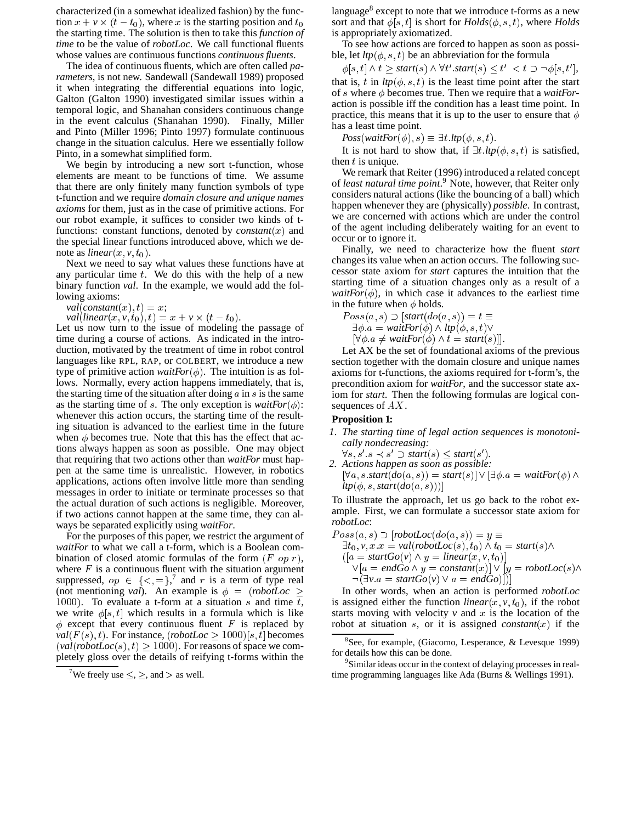characterized (in a somewhat idealized fashion) by the function  $x + v \times (t - t_0)$ , where x is the starting position and  $t_0$ the starting time. The solution is then to take this *function of time* to be the value of *robotLoc*. We call functional fluents whose values are continuous functions *continuous fluents*.

The idea of continuous fluents, which are often called *parameters*, is not new. Sandewall (Sandewall 1989) proposed it when integrating the differential equations into logic, Galton (Galton 1990) investigated similar issues within a temporal logic, and Shanahan considers continuous change in the event calculus (Shanahan 1990). Finally, Miller and Pinto (Miller 1996; Pinto 1997) formulate continuous change in the situation calculus. Here we essentially follow Pinto, in a somewhat simplified form.

We begin by introducing a new sort t-function, whose elements are meant to be functions of time. We assume that there are only finitely many function symbols of type t-function and we require *domain closure and unique names axioms* for them, just as in the case of primitive actions. For our robot example, it suffices to consider two kinds of tfunctions: constant functions, denoted by *constant* $(x)$  and the special linear functions introduced above, which we denote as *linear* $(x, v, t_0)$ .

Next we need to say what values these functions have at any particular time  $t$ . We do this with the help of a new binary function *val*. In the example, we would add the following axioms:

 $val[constant(x), t) = x;$ 

 $val(linear(x, v, t_0), t) = x + v \times (t - t_0).$ 

Let us now turn to the issue of modeling the passage of time during a course of actions. As indicated in the introduction, motivated by the treatment of time in robot control languages like RPL, RAP, or COLBERT, we introduce a new type of primitive action *waitFor* $(\phi)$ . The intuition is as follows. Normally, every action happens immediately, that is, the starting time of the situation after doing  $\alpha$  in  $\delta$  is the same as the starting time of s. The only exception is  $waitFor(\phi)$ : whenever this action occurs, the starting time of the resulting situation is advanced to the earliest time in the future when  $\phi$  becomes true. Note that this has the effect that actions always happen as soon as possible. One may object that requiring that two actions other than *waitFor* must happen at the same time is unrealistic. However, in robotics applications, actions often involve little more than sending messages in order to initiate or terminate processes so that the actual duration of such actions is negligible. Moreover, if two actions cannot happen at the same time, they can always be separated explicitly using *waitFor*.

For the purposes of this paper, we restrict the argument of *waitFor* to what we call a t-form, which is a Boolean combination of closed atomic formulas of the form  $(F \text{ op } r)$ , where  $F$  is a continuous fluent with the situation argument suppressed,  $op \in \{<,=\}$ ,<sup>7</sup> and r is a term of type real (not mentioning *val*). An example is  $\phi = (robotLoc \ge$ 1000). To evaluate a t-form at a situation  $s$  and time  $t$ , we write  $\phi[s, t]$  which results in a formula which is like  $\phi$  except that every continuous fluent F is replaced by  $val(F(s), t)$ . For instance, (*robotLoc*  $\geq 1000$ )[s, t] becomes  $\left( \text{val}( \text{robotLoc}(s), t) \right) > 1000$ . For reasons of space we completely gloss over the details of reifying t-forms within the

language<sup>8</sup> except to note that we introduce t-forms as a new sort and that  $\phi[s, t]$  is short for  $Holds(\phi, s, t)$ , where *Holds* is appropriately axiomatized.

To see how actions are forced to happen as soon as possible, let  $ltp(\phi, s, t)$  be an abbreviation for the formula

 $\phi[s, t] \wedge t \geq start(s) \wedge \forall t'.start(s) \leq t' < t \supset \neg \phi[s, t'],$ that is, t in  $ltp(\phi, s, t)$  is the least time point after the start of s where  $\phi$  becomes true. Then we require that a *waitFor*action is possible iff the condition has a least time point. In practice, this means that it is up to the user to ensure that  $\phi$ has a least time point.

 $Poss(waitFor(\phi), s) \equiv \exists t. \text{ltp}(\phi, s, t).$ 

It is not hard to show that, if  $\exists t \, ltp(\phi, s, t)$  is satisfied, then  $t$  is unique.

We remark that Reiter (1996) introduced a related concept of *least natural time point*. <sup>9</sup> Note, however, that Reiter only considers natural actions (like the bouncing of a ball) which happen whenever they are (physically) *possible*. In contrast, we are concerned with actions which are under the control of the agent including deliberately waiting for an event to occur or to ignore it.

Finally, we need to characterize how the fluent *start* changes its value when an action occurs. The following successor state axiom for *start* captures the intuition that the starting time of a situation changes only as a result of a *waitFor* $(\phi)$ , in which case it advances to the earliest time in the future when  $\phi$  holds.

 $Poss(a, s)$   $\supset$  [*start*(do(a, s)) =  $t \equiv$  $\exists \phi \ldotp a = \textit{waitFor}(\phi) \land \textit{ltp}(\phi, s, t) \lor$ 

 $[\forall \phi \ a \neq \text{waitFor}(\phi) \land t = \text{start}(s)].$ 

Let AX be the set of foundational axioms of the previous section together with the domain closure and unique names axioms for t-functions, the axioms required for t-form's, the precondition axiom for *waitFor*, and the successor state axiom for *start*. Then the following formulas are logical consequences of AX.

#### **Proposition 1:**

*1. The starting time of legal action sequences is monotonically nondecreasing:*

 $\forall s, s' \ s \prec s' \supset start(s) \leq start(s').$ 

*2. Actions happen as soon as possible:*  $[\forall a, s \mathit{.start}(do(a, s)) = start(s)] \lor [\exists \phi \mathit{.}a = waitFor(\phi) \land$  $ltp(\phi, s, start(do(a, s))))$ 

To illustrate the approach, let us go back to the robot example. First, we can formulate a successor state axiom for *robotLoc*:

 $Poss(a, s)$   $\supset$   $[robotLoc(do(a, s)) = y \equiv$  $\exists t_0, v, x \ldots = val(robotLoc(s), t_0) \wedge t_0 = start(s) \wedge$  $([a = startGo(v) \land y = linear(x, v, t_0)]$  $\vee [a = endGo \wedge y = constant(x)] \vee [y = robotLoc(s) \wedge$  $\lnot$   $\lnot \exists v \ a = startGo(v) \lor a = endGo)$ 

In other words, when an action is performed *robotLoc* is assigned either the function *linear* $(x, y, t_0)$ , if the robot starts moving with velocity  $v$  and  $x$  is the location of the robot at situation s, or it is assigned *constant* $(x)$  if the

<sup>9</sup>Similar ideas occur in the context of delaying processes in realtime programming languages like Ada (Burns & Wellings 1991).

<sup>&</sup>lt;sup>7</sup>We freely use  $\leq, \geq$ , and  $>$  as well.

<sup>&</sup>lt;sup>8</sup>See, for example, (Giacomo, Lesperance,  $\&$  Levesque 1999) for details how this can be done.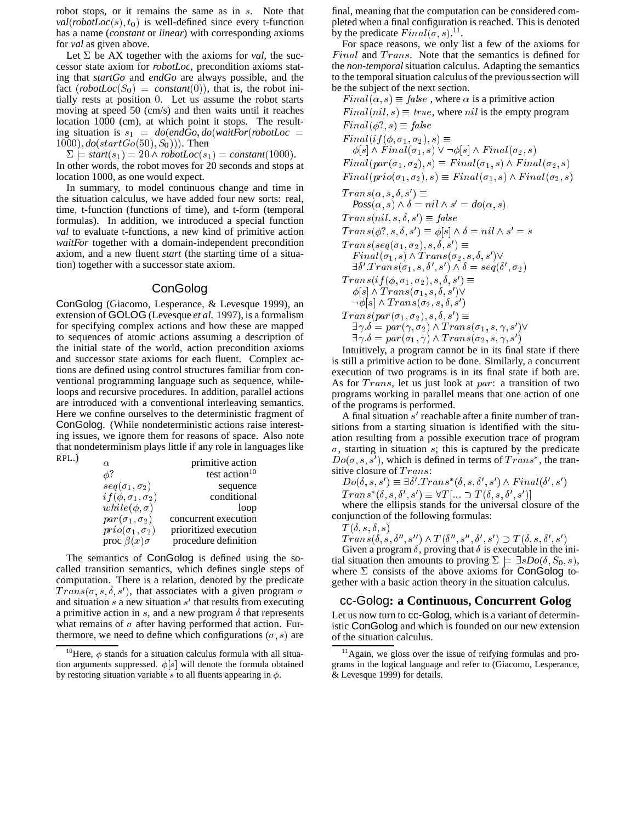robot stops, or it remains the same as in s. Note that  $val(robotLoc(s), t_0)$  is well-defined since every t-function has a name (*constant* or *linear*) with corresponding axioms for *val* as given above.

Let  $\Sigma$  be AX together with the axioms for *val*, the successor state axiom for *robotLoc*, precondition axioms stating that *startGo* and *endGo* are always possible, and the fact  $(robotLoc(S_0) = constant(0))$ , that is, the robot initially rests at position <sup>0</sup>. Let us assume the robot starts moving at speed 50 (cm/s) and then waits until it reaches location 1000 (cm), at which point it stops. The resulting situation is  $s_1 = do(endGo, do(waitFor(robotLoc =$  $1000$ ,  $do(startGo(50), S_0))$ . Then

 $\Sigma$   $\equiv$  *start*(s<sub>1</sub>) = 20  $\land$  *robotLoc*(s<sub>1</sub>) = *constant*(1000). In other words, the robot moves for 20 seconds and stops at location 1000, as one would expect.

In summary, to model continuous change and time in the situation calculus, we have added four new sorts: real, time, t-function (functions of time), and t-form (temporal formulas). In addition, we introduced a special function *val* to evaluate t-functions, a new kind of primitive action *waitFor* together with a domain-independent precondition axiom, and a new fluent *start* (the starting time of a situation) together with a successor state axiom.

## **ConGolog**

ConGolog (Giacomo, Lesperance, & Levesque 1999), an extension of GOLOG (Levesque *et al.* 1997), is a formalism for specifying complex actions and how these are mapped to sequences of atomic actions assuming a description of the initial state of the world, action precondition axioms and successor state axioms for each fluent. Complex actions are defined using control structures familiar from conventional programming language such as sequence, whileloops and recursive procedures. In addition, parallel actions are introduced with a conventional interleaving semantics. Here we confine ourselves to the deterministic fragment of ConGolog. (While nondeterministic actions raise interesting issues, we ignore them for reasons of space. Also note that nondeterminism plays little if any role in languages like RPL.)

| $\alpha$                       | primitive action          |
|--------------------------------|---------------------------|
| φ?                             | test action <sup>10</sup> |
| $seq(\sigma_1, \sigma_2)$      | sequence                  |
| $if(\phi, \sigma_1, \sigma_2)$ | conditional               |
| $while(\phi, \sigma)$          | loop                      |
| $par(\sigma_1, \sigma_2)$      | concurrent execution      |
| $prio(\sigma_1, \sigma_2)$     | prioritized execution     |
| proc $\beta(x)\sigma$          | procedure definition      |

The semantics of ConGolog is defined using the socalled transition semantics, which defines single steps of computation. There is a relation, denoted by the predicate  $Trans(\sigma, s, \delta, s')$ , that associates with a given program  $\sigma$ and situation  $s$  a new situation  $s'$  that results from executing a primitive action in  $s$ , and a new program  $\delta$  that represents what remains of  $\sigma$  after having performed that action. Furthermore, we need to define which configurations  $(\sigma, s)$  are

final, meaning that the computation can be considered completed when a final configuration is reached. This is denoted by the predicate  $Final(\sigma, s)$ .<sup>11</sup>.

For space reasons, we only list a few of the axioms for  $Final$  and  $Trans.$  Note that the semantics is defined for the *non-temporal*situation calculus. Adapting the semantics to the temporal situation calculus of the previous section will be the subject of the next section.

 $Final(\alpha, s) \equiv false$ , where  $\alpha$  is a primitive action  $Final(nil, s) \equiv true$ , where nil is the empty program  $Final(\phi^? , s) \equiv false$  $Final(if(\phi, \sigma_1, \sigma_2), s) \equiv$  $\phi[s] \wedge Final(\sigma_1, s) \vee \neg \phi[s] \wedge Final(\sigma_2, s)$ F inal(par(1; 2); s) F inal(1; s) ^ F inal(2; s)  $Final(prio(\sigma_1, \sigma_2), s) \equiv Final(\sigma_1, s) \wedge Final(\sigma_2, s)$  $I$  rans( $\alpha, s, o, s$ )  $=$  $Poss(\alpha, s) \wedge \delta = nil \wedge s' = do(\alpha, s)$  $I$  rans(nu, s, o, s)  $=$  false  $I \; runs(\varphi_1, s, o, s') = \varphi | s | \wedge o = n \omega \wedge s' = s$  $I$  rans(seq( $\sigma_1, \sigma_2$ ), s, o, s) =  $F$  indi $(\sigma_1, s) \wedge T$  rans $(\sigma_2, s, o, s)$  $\sigma$   $\iota$   $rans(\sigma_1, s, o_1, s_1) \wedge o = seq(o_1, \sigma_2)$  $I \; runs(i) \; (\varphi, \sigma_1, \sigma_2), s, o, s) =$  $\varphi$ [s]  $\wedge$  1  $runs(\sigma_1, s, o, s)$   $\vee$  $\lnot \varphi |s| \wedge \text{I} \text{trans}(\sigma_2, s, o, s)$  $I \; runs(par(\sigma_1, \sigma_2), s, o, s) =$  $\Box \gamma$  ,  $\sigma = par(\gamma, \sigma_2) \land Trans(\sigma_1, s, \gamma, s)$  y  $\exists \gamma . \mathit{o} = par(\sigma_1, \gamma) \land I \; runs(\sigma_2, s, \gamma, s)$ 

Intuitively, a program cannot be in its final state if there is still a primitive action to be done. Similarly, a concurrent execution of two programs is in its final state if both are. As for  $Trans$ , let us just look at par: a transition of two programs working in parallel means that one action of one of the programs is performed.

A final situation  $s'$  reachable after a finite number of transitions from a starting situation is identified with the situation resulting from a possible execution trace of program  $\sigma$ , starting in situation s; this is captured by the predicate  $Do(\sigma, s, s')$ , which is defined in terms of  $Trans^*$ , the transitive closure of *Trans*:

 $D_0(0, s, s) = 10$  I rans  $(0, s, 0, s) \wedge$  F indi $(0, s)$ 

 $I \; \text{rans} \; (0, S, 0 \; , S \; ) \equiv \forall I \; | \ldots \supset I \; (0, S, 0 \; , S \; ) |$ 

where the ellipsis stands for the universal closure of the conjunction of the following formulas:

 $T(\delta, s, \delta, s)$ 

 $IT a n s (0, s, 0, s) \wedge I (0, s, 0, s) \cup I (0, s, 0, s)$ 

Given a program  $\delta$ , proving that  $\delta$  is executable in the initial situation then amounts to proving  $\Sigma \models \exists sDo(\delta, S_0, s)$ , where  $\Sigma$  consists of the above axioms for ConGolog together with a basic action theory in the situation calculus.

## cc-Golog**: a Continuous, Concurrent Golog**

Let us now turn to cc-Golog, which is a variant of deterministic ConGolog and which is founded on our new extension of the situation calculus.

<sup>&</sup>lt;sup>10</sup>Here,  $\phi$  stands for a situation calculus formula with all situation arguments suppressed.  $\phi[s]$  will denote the formula obtained by restoring situation variable s to all fluents appearing in  $\phi$ .

<sup>&</sup>lt;sup>11</sup> Again, we gloss over the issue of reifying formulas and programs in the logical language and refer to (Giacomo, Lesperance, & Levesque 1999) for details.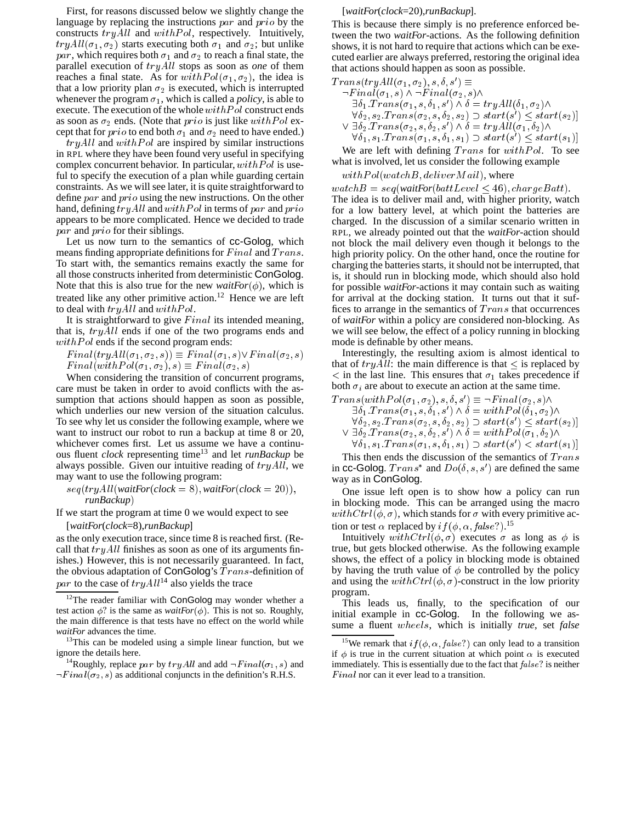First, for reasons discussed below we slightly change the language by replacing the instructions par and prio by the constructs  $tryAll$  and  $with Pol$ , respectively. Intuitively,  $tryAll(\sigma_1, \sigma_2)$  starts executing both  $\sigma_1$  and  $\sigma_2$ ; but unlike par, which requires both  $\sigma_1$  and  $\sigma_2$  to reach a final state, the parallel execution of tryAll stops as soon as *one* of them reaches a final state. As for  $with Pol(\sigma_1, \sigma_2)$ , the idea is that a low priority plan  $\sigma_2$  is executed, which is interrupted whenever the program  $\sigma_1$ , which is called a *policy*, is able to execute. The execution of the whole  $with Pol$  construct ends as soon as  $\sigma_2$  ends. (Note that *prio* is just like with Pol except that for *prio* to end both  $\sigma_1$  and  $\sigma_2$  need to have ended.)

 $tryAll$  and  $withPol$  are inspired by similar instructions in RPL where they have been found very useful in specifying complex concurrent behavior. In particular,  $with Pol$  is useful to specify the execution of a plan while guarding certain constraints. As we will see later, it is quite straightforward to define *par* and *prio* using the new instructions. On the other hand, defining  $tryAll$  and  $with Pol$  in terms of  $par$  and  $prio$ appears to be more complicated. Hence we decided to trade par and prio for their siblings.

Let us now turn to the semantics of cc-Golog, which means finding appropriate definitions for  $Final$  and  $Trans.$ To start with, the semantics remains exactly the same for all those constructs inherited from deterministic ConGolog. Note that this is also true for the new *waitFor*( $\phi$ ), which is treated like any other primitive action.<sup>12</sup> Hence we are left to deal with  $tryAll$  and  $with Pol.$ 

It is straightforward to give  $Final$  its intended meaning, that is,  $tryAll$  ends if one of the two programs ends and  $with Pol$  ends if the second program ends:

 $Final(tryAll(\sigma_1, \sigma_2, s)) \equiv Final(\sigma_1, s)\vee Final(\sigma_2, s)$  $Final(withPol(\sigma_1, \sigma_2), s) \equiv Final(\sigma_2, s)$ 

When considering the transition of concurrent programs, care must be taken in order to avoid conflicts with the assumption that actions should happen as soon as possible, which underlies our new version of the situation calculus. To see why let us consider the following example, where we want to instruct our robot to run a backup at time 8 or 20, whichever comes first. Let us assume we have a continuous fluent *clock* representing time<sup>13</sup> and let *runBackup* be always possible. Given our intuitive reading of  $tryAll$ , we may want to use the following program:

 $seq(tryAll(waitFor(clock = 8), waitFor(clock = 20)),$ *runBackup*)

If we start the program at time  $0$  we would expect to see [*waitFor*(*clock*=8),*runBackup*]

as the only execution trace, since time 8 is reached first. (Recall that  $tryAll$  finishes as soon as one of its arguments finishes.) However, this is not necessarily guaranteed. In fact, the obvious adaptation of ConGolog's  $Trans$ -definition of par to the case of  $tryAll<sup>14</sup>$  also yields the trace

## [*waitFor*(*clock*=20),*runBackup*].

This is because there simply is no preference enforced between the two *waitFor*-actions. As the following definition shows, it is not hard to require that actions which can be executed earlier are always preferred, restoring the original idea that actions should happen as soon as possible.

$$
\begin{array}{l} Trans(tryAll(\sigma_1, \sigma_2), s, \delta, s') \equiv \\ \neg Final(\sigma_1, s) \land \neg Final(\sigma_2, s) \land \\ \exists \delta_1 \cdot Trans(\sigma_1, s, \delta_1, s') \land \delta = tryAll(\delta_1, \sigma_2) \land \\ \forall \delta_2, s_2 \cdot Trans(\sigma_2, s, \delta_2, s_2) \supset start(s') \le start(s_2) ] \\ \lor \exists \delta_2 \cdot Trans(\sigma_2, s, \delta_2, s') \land \delta = tryAll(\sigma_1, \delta_2) \land \\ \forall \delta_1, s_1 \cdot Trans(\sigma_1, s, \delta_1, s_1) \supset start(s') < start(s_1) ] \end{array}
$$

We are left with defining  $Trans$  for  $with Pol$ . To see what is involved, let us consider the following example

#### $with Pol(watchB, deliver Mail)$ , where

 $watchB = seq(waitFor(battLevel \leq 46), chargeBatt).$ The idea is to deliver mail and, with higher priority, watch for a low battery level, at which point the batteries are charged. In the discussion of a similar scenario written in RPL, we already pointed out that the *waitFor*-action should not block the mail delivery even though it belongs to the high priority policy. On the other hand, once the routine for charging the batteries starts, it should not be interrupted, that is, it should run in blocking mode, which should also hold for possible *waitFor*-actions it may contain such as waiting for arrival at the docking station. It turns out that it suffices to arrange in the semantics of  $Trans$  that occurrences of *waitFor* within a policy are considered non-blocking. As we will see below, the effect of a policy running in blocking mode is definable by other means.

Interestingly, the resulting axiom is almost identical to that of  $tryAll$ : the main difference is that  $\leq$  is replaced by  $\langle$  in the last line. This ensures that  $\sigma_1$  takes precedence if both  $\sigma_i$  are about to execute an action at the same time.

$$
Trans(withPol(\sigma_1, \sigma_2), s, \delta, s') \equiv \neg Final(\sigma_2, s) \land \n\exists \delta_1 \cdot Trans(\sigma_1, s, \delta_1, s') \land \delta = withPol(\delta_1, \sigma_2) \land \n\forall \delta_2, s_2 \cdot Trans(\sigma_2, s, \delta_2, s_2) \supset start(s') \le start(s_2) \n\lor \exists \delta_2 \cdot Trans(\sigma_2, s, \delta_2, s') \land \delta = withPol(\sigma_1, \delta_2) \land \n\forall \delta_1, s_1 \cdot Trans(\sigma_1, s, \delta_1, s_1) \supset start(s') < start(s_1)
$$

This then ends the discussion of the semantics of  $Trans$ in cc-Golog.  $Trans^*$  and  $Do(\delta, s, s')$  are defined the same way as in ConGolog.

One issue left open is to show how a policy can run in blocking mode. This can be arranged using the macro  $withCtrl(\phi, \sigma)$ , which stands for  $\sigma$  with every primitive action or test  $\alpha$  replaced by  $if(\phi, \alpha, false?)$ .<sup>15</sup>

Intuitively with  $Ctrl(\phi, \sigma)$  executes  $\sigma$  as long as  $\phi$  is true, but gets blocked otherwise. As the following example shows, the effect of a policy in blocking mode is obtained by having the truth value of  $\phi$  be controlled by the policy and using the  $withCtrl(\phi, \sigma)$ -construct in the low priority program.

This leads us, finally, to the specification of our initial example in cc-Golog. In the following we assume a fluent wheels, which is initially *true*, set *false*

<sup>&</sup>lt;sup>12</sup>The reader familiar with ConGolog may wonder whether a test action  $\phi$ ? is the same as *waitFor*( $\phi$ ). This is not so. Roughly, the main difference is that tests have no effect on the world while *waitFor* advances the time.

 $13$ This can be modeled using a simple linear function, but we ignore the details here.

<sup>&</sup>lt;sup>14</sup>Roughly, replace par by try All and add  $\neg Final(\sigma_1, s)$  and  $\neg Final(\sigma_2, s)$  as additional conjuncts in the definition's R.H.S.

<sup>&</sup>lt;sup>15</sup>We remark that  $if(\phi, \alpha, false?)$  can only lead to a transition if  $\phi$  is true in the current situation at which point  $\alpha$  is executed immediately. This is essentially due to the fact that  $false$ ? is neither  $Final$  nor can it ever lead to a transition.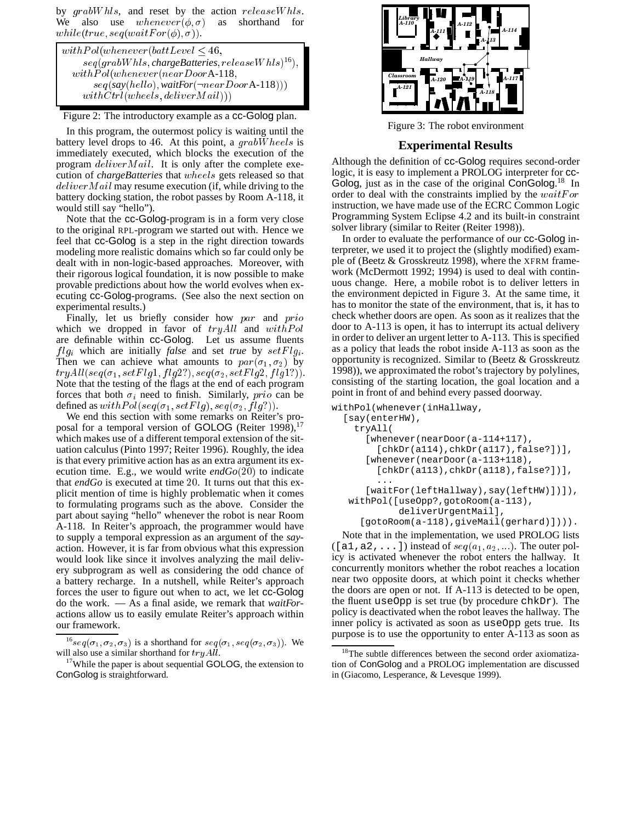by grabWhls, and reset by the action releaseWhls. We also use  $whenever(\phi, \sigma)$  as shorthand for while(true,  $seq(waitFor(\phi), \sigma)$ ).

| with Pol(whenever(battLevel < 46,                     |
|-------------------------------------------------------|
| $seq(graphWhls, chargeBatteries, releaseWhls)^{16}),$ |
| $with Pol(whenever (near Door A-118,$                 |
| $seq(say(hello), waitFor(\neg nearDoorA-118)))$       |
| withCtrl (wheels, deliver Mail)))                     |

Figure 2: The introductory example as a cc-Golog plan.

In this program, the outermost policy is waiting until the battery level drops to <sup>46</sup>. At this point, a grabW heels is immediately executed, which blocks the execution of the program deliverM ail. It is only after the complete execution of *chargeBatteries* that wheels gets released so that  $deliver Mail$  may resume execution (if, while driving to the battery docking station, the robot passes by Room A-118, it would still say "hello").

Note that the cc-Golog-program is in a form very close to the original RPL-program we started out with. Hence we feel that cc-Golog is a step in the right direction towards modeling more realistic domains which so far could only be dealt with in non-logic-based approaches. Moreover, with their rigorous logical foundation, it is now possible to make provable predictions about how the world evolves when executing cc-Golog-programs. (See also the next section on experimental results.)

Finally, let us briefly consider how  $par$  and  $prio$ which we dropped in favor of  $tryAll$  and  $with Pol$ are definable within cc-Golog. Let us assume fluents  $f \,lg_i$  which are initially *false* and set *true* by  $\text{set} \,Flg_i$ . Then we can achieve what amounts to  $par(\sigma_1, \sigma_2)$  by  $tryAll(seq(\sigma_1, setFlag1, flag2?), seq(\sigma_2, setFlag2, flag1?)).$ Note that the testing of the flags at the end of each program forces that both  $\sigma_i$  need to finish. Similarly, prio can be defined as  $with Pol(seq(\sigma_1, setFlag), seq(\sigma_2, flag)).$ 

We end this section with some remarks on Reiter's proposal for a temporal version of GOLOG (Reiter 1998),  $17$ which makes use of a different temporal extension of the situation calculus (Pinto 1997; Reiter 1996). Roughly, the idea is that every primitive action has as an extra argument its execution time. E.g., we would write *endGo*(20) to indicate that *endGo* is executed at time <sup>20</sup>. It turns out that this explicit mention of time is highly problematic when it comes to formulating programs such as the above. Consider the part about saying "hello" whenever the robot is near Room A-118. In Reiter's approach, the programmer would have to supply a temporal expression as an argument of the *say*action. However, it is far from obvious what this expression would look like since it involves analyzing the mail delivery subprogram as well as considering the odd chance of a battery recharge. In a nutshell, while Reiter's approach forces the user to figure out when to act, we let cc-Golog do the work. — As a final aside, we remark that *waitFor*actions allow us to easily emulate Reiter's approach within our framework.



Figure 3: The robot environment

# **Experimental Results**

Although the definition of cc-Golog requires second-order logic, it is easy to implement a PROLOG interpreter for cc-Golog, just as in the case of the original ConGolog.<sup>18</sup> In order to deal with the constraints implied by the  $waitFor$ instruction, we have made use of the ECRC Common Logic Programming System Eclipse 4.2 and its built-in constraint solver library (similar to Reiter (Reiter 1998)).

In order to evaluate the performance of our cc-Golog interpreter, we used it to project the (slightly modified) example of (Beetz & Grosskreutz 1998), where the XFRM framework (McDermott 1992; 1994) is used to deal with continuous change. Here, a mobile robot is to deliver letters in the environment depicted in Figure 3. At the same time, it has to monitor the state of the environment, that is, it has to check whether doors are open. As soon as it realizes that the door to A-113 is open, it has to interrupt its actual delivery in order to deliver an urgent letter to A-113. This is specified as a policy that leads the robot inside A-113 as soon as the opportunity is recognized. Similar to (Beetz & Grosskreutz 1998)), we approximated the robot's trajectory by polylines, consisting of the starting location, the goal location and a point in front of and behind every passed doorway.

```
withPol(whenever(inHallway,
```

```
[say(enterHW),
 tryAll(
   [whenever(nearDoor(a-114+117),
     [chkDr(a114),chkDr(a117),false?])],
   [whenever(nearDoor(a-113+118),
     [chkDr(a113),chkDr(a118),false?])],
     ...
   [waitFor(leftHallway), say(leftHW)])]),
withPol([useOpp?,gotoRoom(a-113),
         deliverUrgentMail],
  [gotoRoom(a-118),giveMail(gerhard)]))).
```
Note that in the implementation, we used PROLOG lists ([a1,a2,...]) instead of  $seq(a_1, a_2, ...)$ . The outer policy is activated whenever the robot enters the hallway. It concurrently monitors whether the robot reaches a location near two opposite doors, at which point it checks whether the doors are open or not. If A-113 is detected to be open, the fluent useOpp is set true (by procedure chkDr). The policy is deactivated when the robot leaves the hallway. The inner policy is activated as soon as useOpp gets true. Its purpose is to use the opportunity to enter A-113 as soon as

<sup>&</sup>lt;sup>16</sup>seq( $\sigma_1, \sigma_2, \sigma_3$ ) is a shorthand for seq( $\sigma_1$ , seq( $\sigma_2, \sigma_3$ )). We will also use a similar shorthand for  $tryAll$ .

 $17$ While the paper is about sequential GOLOG, the extension to ConGolog is straightforward.

<sup>&</sup>lt;sup>8</sup>The subtle differences between the second order axiomatization of ConGolog and a PROLOG implementation are discussed in (Giacomo, Lesperance, & Levesque 1999).